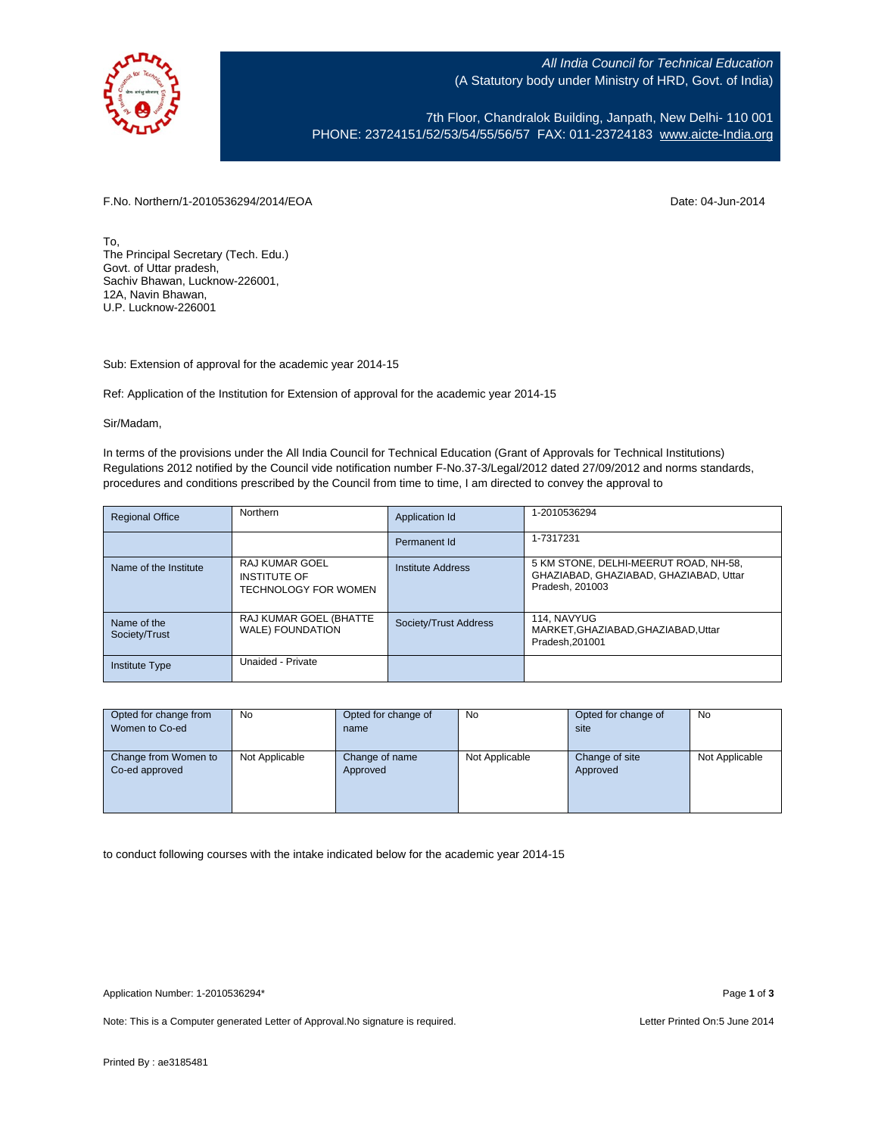

All India Council for Technical Education (A Statutory body under Ministry of HRD, Govt. of India)

7th Floor, Chandralok Building, Janpath, New Delhi- 110 001 PHONE: 23724151/52/53/54/55/56/57 FAX: 011-23724183 [www.aicte-India.org](http://www.aicte-india.org/)

F.No. Northern/1-2010536294/2014/EOA Date: 04-Jun-2014

To, The Principal Secretary (Tech. Edu.) Govt. of Uttar pradesh, Sachiv Bhawan, Lucknow-226001, 12A, Navin Bhawan, U.P. Lucknow-226001

Sub: Extension of approval for the academic year 2014-15

Ref: Application of the Institution for Extension of approval for the academic year 2014-15

## Sir/Madam,

In terms of the provisions under the All India Council for Technical Education (Grant of Approvals for Technical Institutions) Regulations 2012 notified by the Council vide notification number F-No.37-3/Legal/2012 dated 27/09/2012 and norms standards, procedures and conditions prescribed by the Council from time to time, I am directed to convey the approval to

| <b>Regional Office</b>       | Northern                                                             | Application Id        | 1-2010536294                                                                                       |
|------------------------------|----------------------------------------------------------------------|-----------------------|----------------------------------------------------------------------------------------------------|
|                              |                                                                      | Permanent Id          | 1-7317231                                                                                          |
| Name of the Institute        | <b>RAJ KUMAR GOEL</b><br><b>INSTITUTE OF</b><br>TECHNOLOGY FOR WOMEN | Institute Address     | 5 KM STONE, DELHI-MEERUT ROAD, NH-58,<br>GHAZIABAD, GHAZIABAD, GHAZIABAD, Uttar<br>Pradesh, 201003 |
| Name of the<br>Society/Trust | RAJ KUMAR GOEL (BHATTE<br><b>WALE) FOUNDATION</b>                    | Society/Trust Address | 114. NAVYUG<br>MARKET, GHAZIABAD, GHAZIABAD, Uttar<br>Pradesh.201001                               |
| <b>Institute Type</b>        | Unaided - Private                                                    |                       |                                                                                                    |

| Opted for change from | No             | Opted for change of | No             | Opted for change of | No             |
|-----------------------|----------------|---------------------|----------------|---------------------|----------------|
| Women to Co-ed        |                | name                |                | site                |                |
|                       |                |                     |                |                     |                |
| Change from Women to  | Not Applicable | Change of name      | Not Applicable | Change of site      | Not Applicable |
| Co-ed approved        |                | Approved            |                | Approved            |                |
|                       |                |                     |                |                     |                |
|                       |                |                     |                |                     |                |
|                       |                |                     |                |                     |                |

to conduct following courses with the intake indicated below for the academic year 2014-15

Note: This is a Computer generated Letter of Approval. No signature is required. Letter Printed On:5 June 2014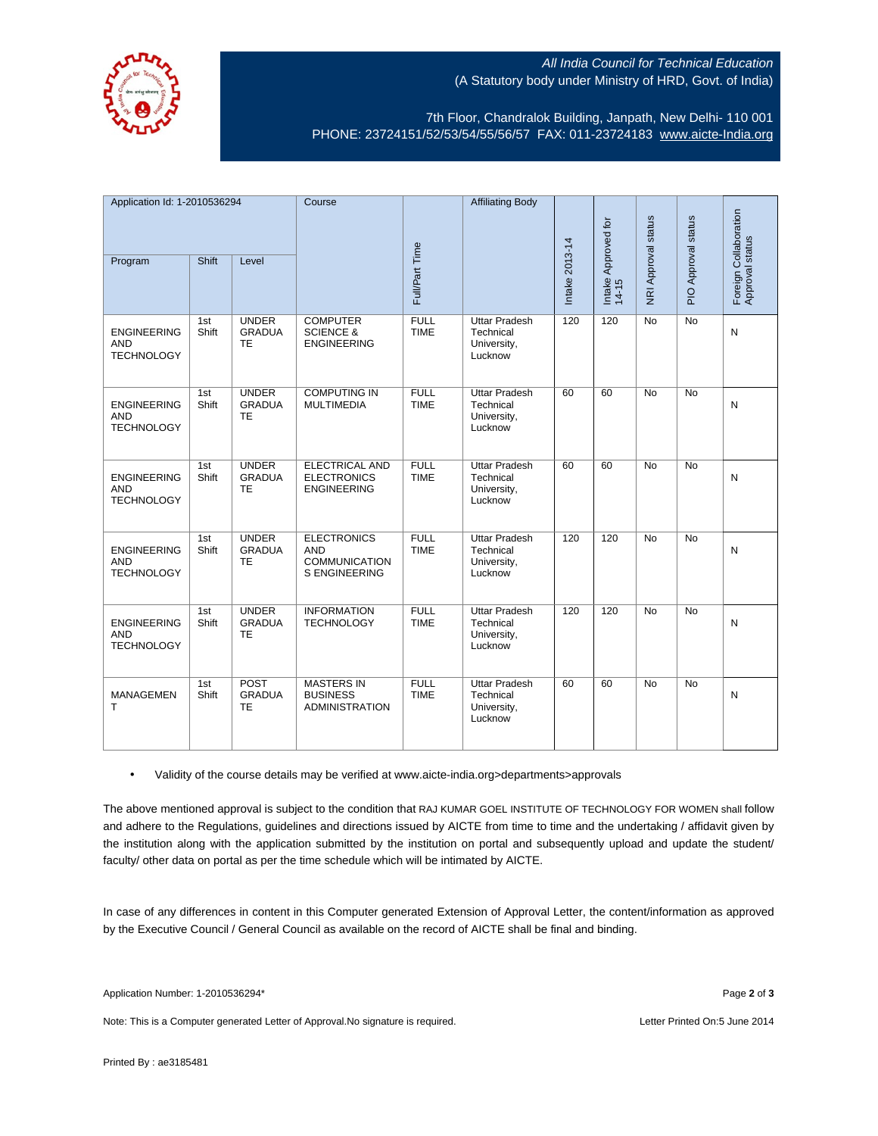

## All India Council for Technical Education (A Statutory body under Ministry of HRD, Govt. of India)

7th Floor, Chandralok Building, Janpath, New Delhi- 110 001 PHONE: 23724151/52/53/54/55/56/57 FAX: 011-23724183 [www.aicte-India.org](http://www.aicte-india.org/)

| Application Id: 1-2010536294                          |              | Course                                     |                                                                                  | <b>Affiliating Body</b>    |                                                             |                |                              |                     |                     |                                          |
|-------------------------------------------------------|--------------|--------------------------------------------|----------------------------------------------------------------------------------|----------------------------|-------------------------------------------------------------|----------------|------------------------------|---------------------|---------------------|------------------------------------------|
|                                                       |              |                                            |                                                                                  |                            |                                                             |                |                              |                     |                     |                                          |
| Program                                               | Shift        | Level                                      |                                                                                  | Full/Part Time             |                                                             | Intake 2013-14 | Intake Approved for<br>14-15 | NRI Approval status | PIO Approval status | Foreign Collaboration<br>Approval status |
| <b>ENGINEERING</b><br><b>AND</b><br><b>TECHNOLOGY</b> | 1st<br>Shift | <b>UNDER</b><br><b>GRADUA</b><br>TE        | <b>COMPUTER</b><br><b>SCIENCE &amp;</b><br><b>ENGINEERING</b>                    | <b>FULL</b><br><b>TIME</b> | <b>Uttar Pradesh</b><br>Technical<br>University,<br>Lucknow | 120            | 120                          | $\overline{No}$     | $\overline{No}$     | N                                        |
| <b>ENGINEERING</b><br><b>AND</b><br><b>TECHNOLOGY</b> | 1st<br>Shift | <b>UNDER</b><br><b>GRADUA</b><br><b>TE</b> | <b>COMPUTING IN</b><br><b>MULTIMEDIA</b>                                         | <b>FULL</b><br><b>TIME</b> | <b>Uttar Pradesh</b><br>Technical<br>University,<br>Lucknow | 60             | 60                           | <b>No</b>           | <b>No</b>           | $\mathsf{N}$                             |
| <b>ENGINEERING</b><br><b>AND</b><br><b>TECHNOLOGY</b> | 1st<br>Shift | <b>UNDER</b><br><b>GRADUA</b><br><b>TE</b> | <b>ELECTRICAL AND</b><br><b>ELECTRONICS</b><br><b>ENGINEERING</b>                | <b>FULL</b><br><b>TIME</b> | <b>Uttar Pradesh</b><br>Technical<br>University,<br>Lucknow | 60             | 60                           | $\overline{No}$     | $\overline{No}$     | N                                        |
| <b>ENGINEERING</b><br><b>AND</b><br><b>TECHNOLOGY</b> | 1st<br>Shift | <b>UNDER</b><br><b>GRADUA</b><br><b>TE</b> | <b>ELECTRONICS</b><br><b>AND</b><br><b>COMMUNICATION</b><br><b>S ENGINEERING</b> | <b>FULL</b><br><b>TIME</b> | <b>Uttar Pradesh</b><br>Technical<br>University,<br>Lucknow | 120            | 120                          | <b>No</b>           | <b>No</b>           | $\mathsf{N}$                             |
| <b>ENGINEERING</b><br><b>AND</b><br><b>TECHNOLOGY</b> | 1st<br>Shift | <b>UNDER</b><br><b>GRADUA</b><br><b>TE</b> | <b>INFORMATION</b><br><b>TECHNOLOGY</b>                                          | <b>FULL</b><br><b>TIME</b> | <b>Uttar Pradesh</b><br>Technical<br>University,<br>Lucknow | 120            | 120                          | No                  | <b>No</b>           | N                                        |
| <b>MANAGEMEN</b><br>т                                 | 1st<br>Shift | POST<br><b>GRADUA</b><br><b>TE</b>         | <b>MASTERS IN</b><br><b>BUSINESS</b><br><b>ADMINISTRATION</b>                    | <b>FULL</b><br><b>TIME</b> | <b>Uttar Pradesh</b><br>Technical<br>University,<br>Lucknow | 60             | 60                           | <b>No</b>           | <b>No</b>           | N                                        |

• Validity of the course details may be verified at www.aicte-india.org>departments>approvals

The above mentioned approval is subject to the condition that RAJ KUMAR GOEL INSTITUTE OF TECHNOLOGY FOR WOMEN shall follow and adhere to the Regulations, guidelines and directions issued by AICTE from time to time and the undertaking / affidavit given by the institution along with the application submitted by the institution on portal and subsequently upload and update the student/ faculty/ other data on portal as per the time schedule which will be intimated by AICTE.

In case of any differences in content in this Computer generated Extension of Approval Letter, the content/information as approved by the Executive Council / General Council as available on the record of AICTE shall be final and binding.

Note: This is a Computer generated Letter of Approval. No signature is required. Letter Printed On:5 June 2014